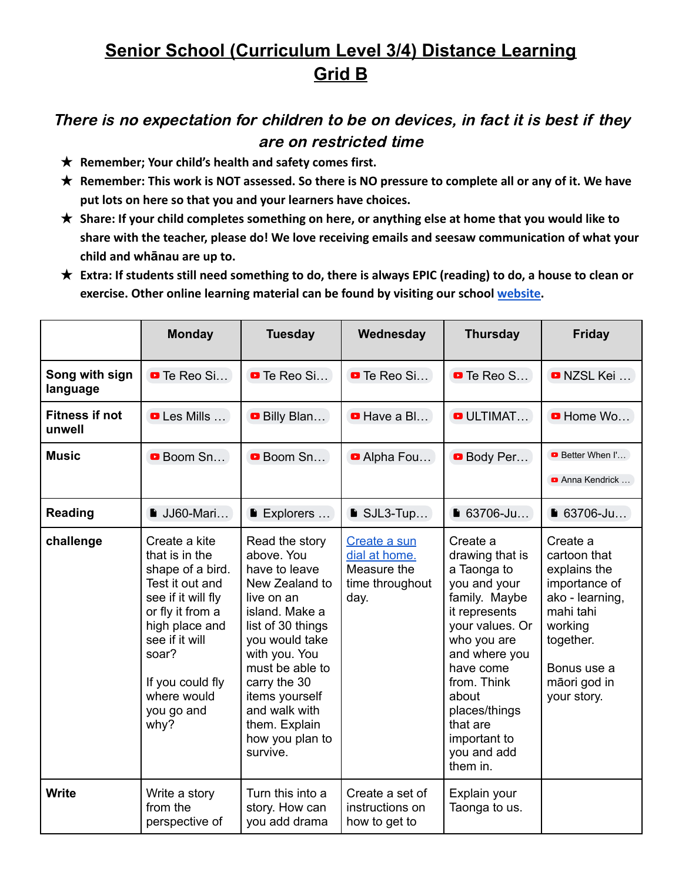## **Senior School (Curriculum Level 3/4) Distance Learning Grid B**

## There is no expectation for children to be on devices, in fact it is best if they are on restricted time

- ★ **Remember; Your child's health and safety comes first.**
- ★ **Remember: This work is NOT assessed. So there is NO pressure to complete all or any of it. We have put lots on here so that you and your learners have choices.**
- ★ **Share: If your child completes something on here, or anything else at home that you would like to share with the teacher, please do! We love receiving emails and seesaw communication of what your child and whānau are up to.**
- ★ **Extra: If students still need something to do, there is always EPIC (reading) to do, a house to clean or exercise. Other online learning material can be found by visiting our school [website.](https://www.silverdale.school.nz/49/link_sets/2-useful-links)**

|                                 | <b>Monday</b>                                                                                                                                                                                                          | <b>Tuesday</b>                                                                                                                                                                                                                                                                | Wednesday                                                               | <b>Thursday</b>                                                                                                                                                                                                                                              | <b>Friday</b>                                                                                                                                                   |
|---------------------------------|------------------------------------------------------------------------------------------------------------------------------------------------------------------------------------------------------------------------|-------------------------------------------------------------------------------------------------------------------------------------------------------------------------------------------------------------------------------------------------------------------------------|-------------------------------------------------------------------------|--------------------------------------------------------------------------------------------------------------------------------------------------------------------------------------------------------------------------------------------------------------|-----------------------------------------------------------------------------------------------------------------------------------------------------------------|
| Song with sign<br>language      | <b>D</b> Te Reo Si                                                                                                                                                                                                     | <b>D</b> Te Reo Si                                                                                                                                                                                                                                                            | <b>D</b> Te Reo Si                                                      | $\blacksquare$ Te Reo S                                                                                                                                                                                                                                      | <b>D</b> NZSL Kei                                                                                                                                               |
| <b>Fitness if not</b><br>unwell | <b>D</b> Les Mills                                                                                                                                                                                                     | Billy Blan                                                                                                                                                                                                                                                                    | <b>D</b> Have a Bl                                                      | <b>O</b> ULTIMAT                                                                                                                                                                                                                                             | <b>D</b> Home Wo                                                                                                                                                |
| <b>Music</b>                    | <b>Boom Sn</b>                                                                                                                                                                                                         | <b>Boom Sn</b>                                                                                                                                                                                                                                                                | Alpha Fou                                                               | <b>Body Per</b>                                                                                                                                                                                                                                              | <b>Better When I'</b><br>Anna Kendrick                                                                                                                          |
| <b>Reading</b>                  | $\blacksquare$ JJ60-Mari                                                                                                                                                                                               | <b>Explorers</b>                                                                                                                                                                                                                                                              | $\blacksquare$ SJL3-Tup                                                 | ■ 63706-Ju                                                                                                                                                                                                                                                   | $\blacksquare$ 63706-Ju                                                                                                                                         |
| challenge                       | Create a kite<br>that is in the<br>shape of a bird.<br>Test it out and<br>see if it will fly<br>or fly it from a<br>high place and<br>see if it will<br>soar?<br>If you could fly<br>where would<br>you go and<br>why? | Read the story<br>above. You<br>have to leave<br>New Zealand to<br>live on an<br>island. Make a<br>list of 30 things<br>you would take<br>with you. You<br>must be able to<br>carry the 30<br>items yourself<br>and walk with<br>them. Explain<br>how you plan to<br>survive. | Create a sun<br>dial at home.<br>Measure the<br>time throughout<br>day. | Create a<br>drawing that is<br>a Taonga to<br>you and your<br>family. Maybe<br>it represents<br>your values. Or<br>who you are<br>and where you<br>have come<br>from. Think<br>about<br>places/things<br>that are<br>important to<br>you and add<br>them in. | Create a<br>cartoon that<br>explains the<br>importance of<br>ako - learning,<br>mahi tahi<br>working<br>together.<br>Bonus use a<br>māori god in<br>your story. |
| <b>Write</b>                    | Write a story<br>from the<br>perspective of                                                                                                                                                                            | Turn this into a<br>story. How can<br>you add drama                                                                                                                                                                                                                           | Create a set of<br>instructions on<br>how to get to                     | Explain your<br>Taonga to us.                                                                                                                                                                                                                                |                                                                                                                                                                 |